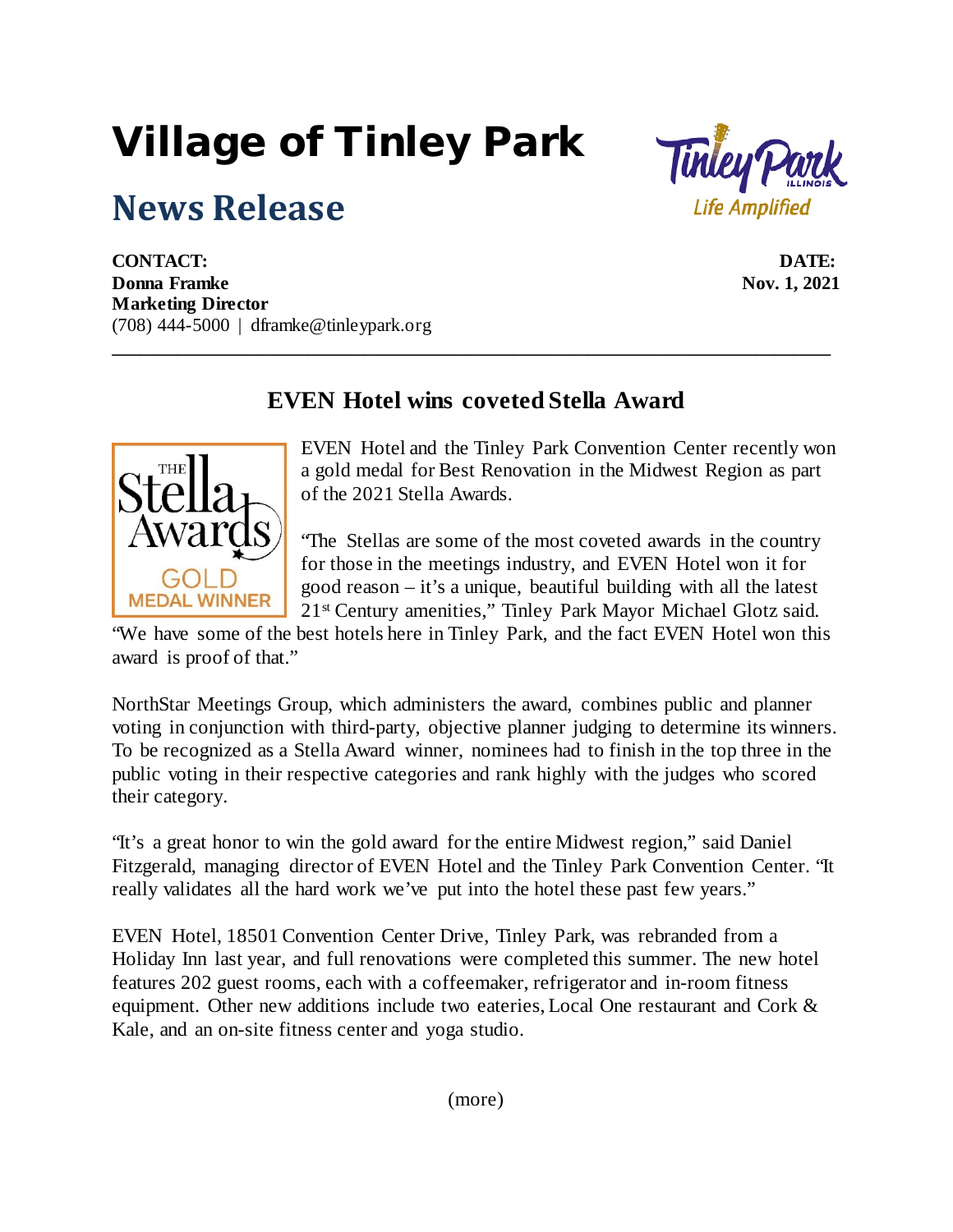## Village of Tinley Park

## **News Release**



**CONTACT: DATE: Donna Framke** Nov. 1, 2021 **Marketing Director** (708) 444-5000 | dframke@tinleypark.org

## **EVEN Hotel wins coveted Stella Award**

**\_\_\_\_\_\_\_\_\_\_\_\_\_\_\_\_\_\_\_\_\_\_\_\_\_\_\_\_\_\_\_\_\_\_\_\_\_\_\_\_\_\_\_\_\_\_\_\_\_\_\_\_\_\_\_\_\_\_\_\_\_\_\_\_\_\_\_\_\_\_\_\_\_\_\_\_\_**



EVEN Hotel and the Tinley Park Convention Center recently won a gold medal for Best Renovation in the Midwest Region as part of the 2021 Stella Awards.

"The Stellas are some of the most coveted awards in the country for those in the meetings industry, and EVEN Hotel won it for good reason – it's a unique, beautiful building with all the latest 21st Century amenities," Tinley Park Mayor Michael Glotz said.

"We have some of the best hotels here in Tinley Park, and the fact EVEN Hotel won this award is proof of that."

NorthStar Meetings Group, which administers the award, combines public and planner voting in conjunction with third-party, objective planner judging to determine its winners. To be recognized as a Stella Award winner, nominees had to finish in the top three in the public voting in their respective categories and rank highly with the judges who scored their category.

"It's a great honor to win the gold award for the entire Midwest region," said Daniel Fitzgerald, managing director of EVEN Hotel and the Tinley Park Convention Center. "It really validates all the hard work we've put into the hotel these past few years."

EVEN Hotel, 18501 Convention Center Drive, Tinley Park, was rebranded from a Holiday Inn last year, and full renovations were completed this summer. The new hotel features 202 guest rooms, each with a coffeemaker, refrigerator and in-room fitness equipment. Other new additions include two eateries, Local One restaurant and Cork & Kale, and an on-site fitness center and yoga studio.

(more)